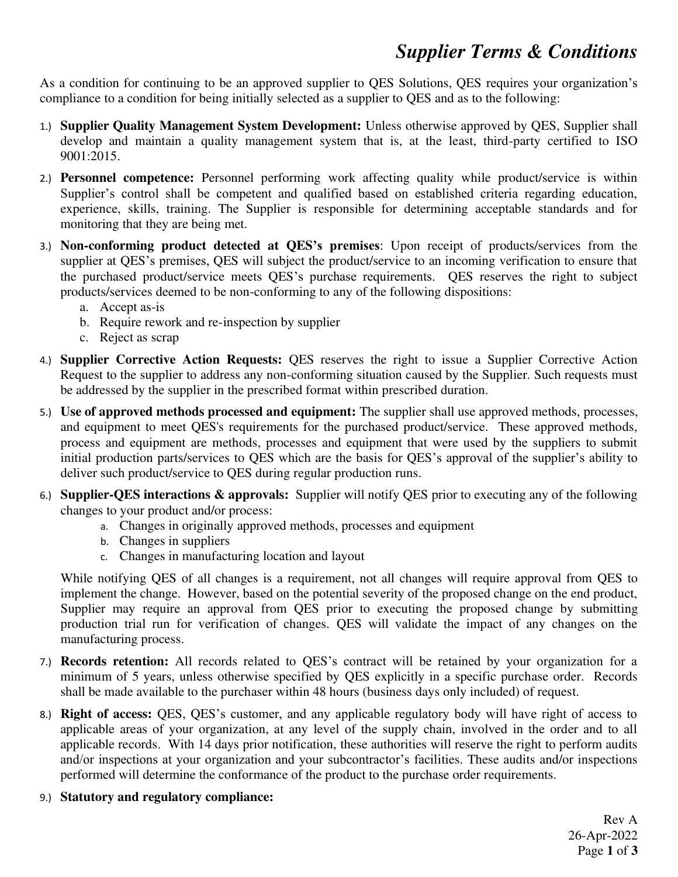## *Supplier Terms & Conditions*

As a condition for continuing to be an approved supplier to QES Solutions, QES requires your organization's compliance to a condition for being initially selected as a supplier to QES and as to the following:

- 1.) **Supplier Quality Management System Development:** Unless otherwise approved by QES, Supplier shall develop and maintain a quality management system that is, at the least, third-party certified to ISO 9001:2015.
- 2.) **Personnel competence:** Personnel performing work affecting quality while product/service is within Supplier's control shall be competent and qualified based on established criteria regarding education, experience, skills, training. The Supplier is responsible for determining acceptable standards and for monitoring that they are being met.
- 3.) **Non-conforming product detected at QES's premises**: Upon receipt of products/services from the supplier at QES's premises, QES will subject the product/service to an incoming verification to ensure that the purchased product/service meets QES's purchase requirements. QES reserves the right to subject products/services deemed to be non-conforming to any of the following dispositions:
	- a. Accept as-is
	- b. Require rework and re-inspection by supplier
	- c. Reject as scrap
- 4.) **Supplier Corrective Action Requests:** QES reserves the right to issue a Supplier Corrective Action Request to the supplier to address any non-conforming situation caused by the Supplier. Such requests must be addressed by the supplier in the prescribed format within prescribed duration.
- 5.) **Use of approved methods processed and equipment:** The supplier shall use approved methods, processes, and equipment to meet QES's requirements for the purchased product/service. These approved methods, process and equipment are methods, processes and equipment that were used by the suppliers to submit initial production parts/services to QES which are the basis for QES's approval of the supplier's ability to deliver such product/service to QES during regular production runs.
- 6.) **Supplier-QES interactions & approvals:** Supplier will notify QES prior to executing any of the following changes to your product and/or process:
	- a. Changes in originally approved methods, processes and equipment
	- b. Changes in suppliers
	- c. Changes in manufacturing location and layout

While notifying QES of all changes is a requirement, not all changes will require approval from QES to implement the change. However, based on the potential severity of the proposed change on the end product, Supplier may require an approval from QES prior to executing the proposed change by submitting production trial run for verification of changes. QES will validate the impact of any changes on the manufacturing process.

- 7.) **Records retention:** All records related to QES's contract will be retained by your organization for a minimum of 5 years, unless otherwise specified by QES explicitly in a specific purchase order. Records shall be made available to the purchaser within 48 hours (business days only included) of request.
- 8.) **Right of access:** QES, QES's customer, and any applicable regulatory body will have right of access to applicable areas of your organization, at any level of the supply chain, involved in the order and to all applicable records. With 14 days prior notification, these authorities will reserve the right to perform audits and/or inspections at your organization and your subcontractor's facilities. These audits and/or inspections performed will determine the conformance of the product to the purchase order requirements.
- 9.) **Statutory and regulatory compliance:**

 Rev A 26-Apr-2022 Page **1** of **3**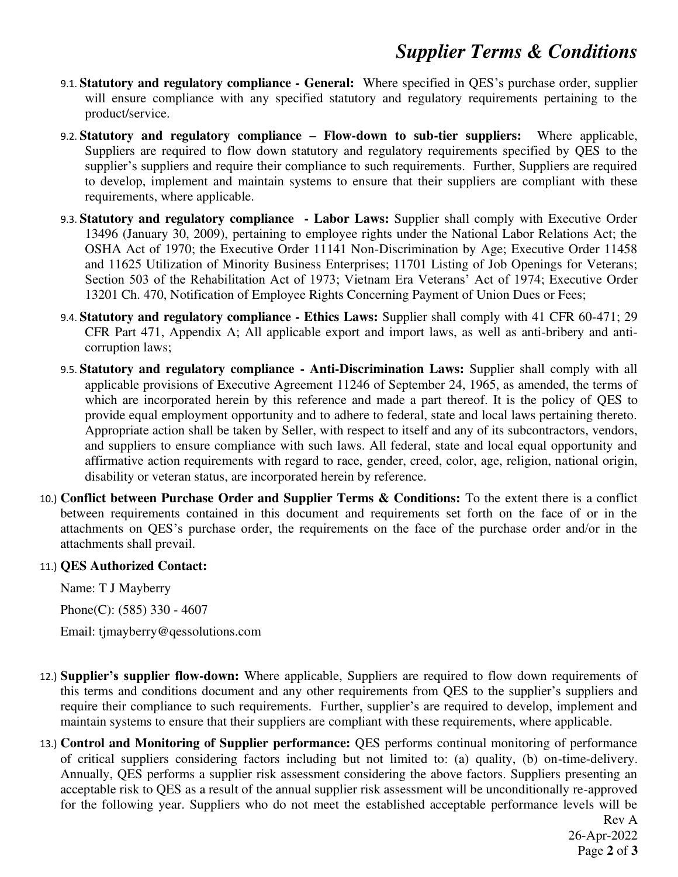## *Supplier Terms & Conditions*

- 9.1. **Statutory and regulatory compliance General:** Where specified in QES's purchase order, supplier will ensure compliance with any specified statutory and regulatory requirements pertaining to the product/service.
- 9.2. **Statutory and regulatory compliance – Flow-down to sub-tier suppliers:** Where applicable, Suppliers are required to flow down statutory and regulatory requirements specified by QES to the supplier's suppliers and require their compliance to such requirements. Further, Suppliers are required to develop, implement and maintain systems to ensure that their suppliers are compliant with these requirements, where applicable.
- 9.3. **Statutory and regulatory compliance Labor Laws:** Supplier shall comply with Executive Order 13496 (January 30, 2009), pertaining to employee rights under the National Labor Relations Act; the OSHA Act of 1970; the Executive Order 11141 Non-Discrimination by Age; Executive Order 11458 and 11625 Utilization of Minority Business Enterprises; 11701 Listing of Job Openings for Veterans; Section 503 of the Rehabilitation Act of 1973; Vietnam Era Veterans' Act of 1974; Executive Order 13201 Ch. 470, Notification of Employee Rights Concerning Payment of Union Dues or Fees;
- 9.4. **Statutory and regulatory compliance Ethics Laws:** Supplier shall comply with 41 CFR 60-471; 29 CFR Part 471, Appendix A; All applicable export and import laws, as well as anti-bribery and anticorruption laws;
- 9.5. **Statutory and regulatory compliance Anti-Discrimination Laws:** Supplier shall comply with all applicable provisions of Executive Agreement 11246 of September 24, 1965, as amended, the terms of which are incorporated herein by this reference and made a part thereof. It is the policy of QES to provide equal employment opportunity and to adhere to federal, state and local laws pertaining thereto. Appropriate action shall be taken by Seller, with respect to itself and any of its subcontractors, vendors, and suppliers to ensure compliance with such laws. All federal, state and local equal opportunity and affirmative action requirements with regard to race, gender, creed, color, age, religion, national origin, disability or veteran status, are incorporated herein by reference.
- 10.) **Conflict between Purchase Order and Supplier Terms & Conditions:** To the extent there is a conflict between requirements contained in this document and requirements set forth on the face of or in the attachments on QES's purchase order, the requirements on the face of the purchase order and/or in the attachments shall prevail.

## 11.) **QES Authorized Contact:**

Name: T J Mayberry

Phone(C): (585) 330 - 4607

Email: tjmayberry@qessolutions.com

- 12.) **Supplier's supplier flow-down:** Where applicable, Suppliers are required to flow down requirements of this terms and conditions document and any other requirements from QES to the supplier's suppliers and require their compliance to such requirements. Further, supplier's are required to develop, implement and maintain systems to ensure that their suppliers are compliant with these requirements, where applicable.
- 13.) **Control and Monitoring of Supplier performance:** QES performs continual monitoring of performance of critical suppliers considering factors including but not limited to: (a) quality, (b) on-time-delivery. Annually, QES performs a supplier risk assessment considering the above factors. Suppliers presenting an acceptable risk to QES as a result of the annual supplier risk assessment will be unconditionally re-approved for the following year. Suppliers who do not meet the established acceptable performance levels will be